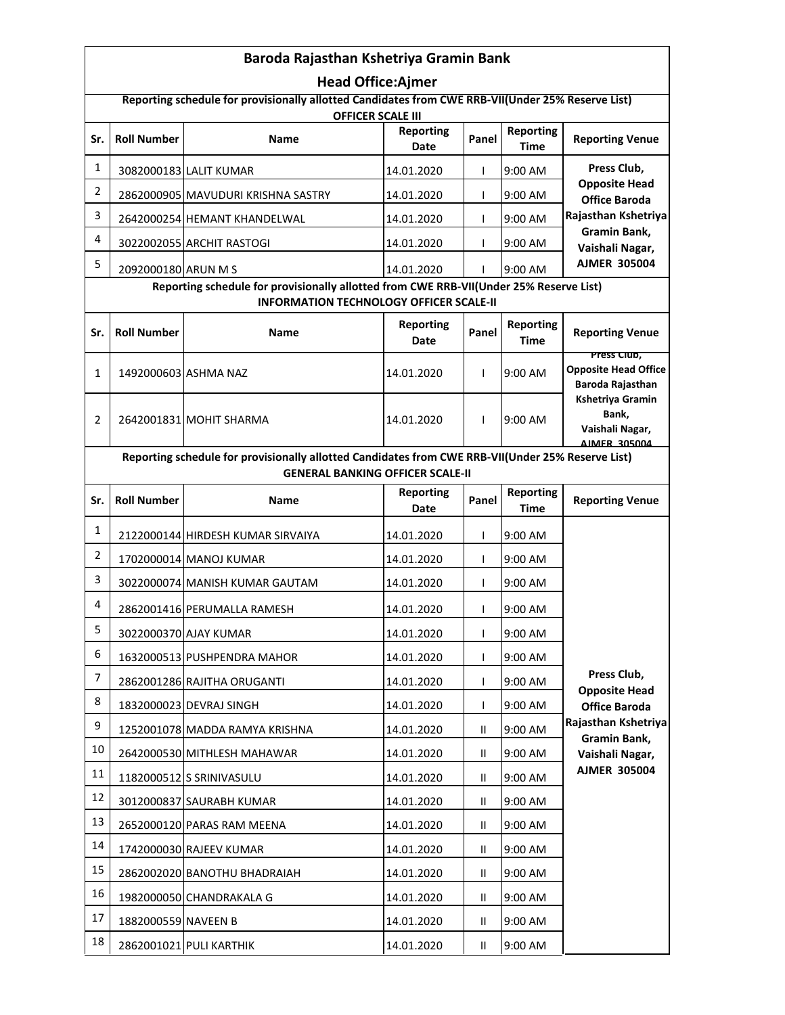| Baroda Rajasthan Kshetriya Gramin Bank                                                                                                       |                     |                                    |                          |               |                          |                                                                                                        |  |
|----------------------------------------------------------------------------------------------------------------------------------------------|---------------------|------------------------------------|--------------------------|---------------|--------------------------|--------------------------------------------------------------------------------------------------------|--|
| <b>Head Office:Ajmer</b>                                                                                                                     |                     |                                    |                          |               |                          |                                                                                                        |  |
| Reporting schedule for provisionally allotted Candidates from CWE RRB-VII(Under 25% Reserve List)<br><b>OFFICER SCALE III</b>                |                     |                                    |                          |               |                          |                                                                                                        |  |
| Sr.                                                                                                                                          | <b>Roll Number</b>  | <b>Name</b>                        | <b>Reporting</b><br>Date | Panel         | <b>Reporting</b><br>Time | <b>Reporting Venue</b>                                                                                 |  |
| 1                                                                                                                                            |                     | 3082000183 LALIT KUMAR             | 14.01.2020               | T             | 9:00 AM                  | Press Club,                                                                                            |  |
| $\overline{2}$                                                                                                                               |                     | 2862000905 MAVUDURI KRISHNA SASTRY | 14.01.2020               | $\mathsf{I}$  | 9:00 AM                  | <b>Opposite Head</b><br><b>Office Baroda</b><br>Rajasthan Kshetriya<br>Gramin Bank,<br>Vaishali Nagar, |  |
| 3                                                                                                                                            |                     | 2642000254 HEMANT KHANDELWAL       | 14.01.2020               | T             | 9:00 AM                  |                                                                                                        |  |
| 4                                                                                                                                            |                     | 3022002055 ARCHIT RASTOGI          | 14.01.2020               | I.            | 9:00 AM                  |                                                                                                        |  |
| 5                                                                                                                                            | 2092000180 ARUN M S |                                    | 14.01.2020               | L             | 9:00 AM                  | <b>AJMER 305004</b>                                                                                    |  |
| Reporting schedule for provisionally allotted from CWE RRB-VII(Under 25% Reserve List)<br><b>INFORMATION TECHNOLOGY OFFICER SCALE-II</b>     |                     |                                    |                          |               |                          |                                                                                                        |  |
| Sr.                                                                                                                                          | <b>Roll Number</b>  | <b>Name</b>                        | <b>Reporting</b><br>Date | Panel         | <b>Reporting</b><br>Time | <b>Reporting Venue</b>                                                                                 |  |
| 1                                                                                                                                            |                     | 1492000603 ASHMA NAZ               | 14.01.2020               | L             | 9:00 AM                  | Press Club,<br><b>Opposite Head Office</b><br>Baroda Rajasthan                                         |  |
| 2                                                                                                                                            |                     | 2642001831 MOHIT SHARMA            | 14.01.2020               | L             | 9:00 AM                  | <b>Kshetriya Gramin</b><br>Bank,<br>Vaishali Nagar,<br>AIMER 305004                                    |  |
| Reporting schedule for provisionally allotted Candidates from CWE RRB-VII(Under 25% Reserve List)<br><b>GENERAL BANKING OFFICER SCALE-II</b> |                     |                                    |                          |               |                          |                                                                                                        |  |
| Sr.                                                                                                                                          | <b>Roll Number</b>  | <b>Name</b>                        | <b>Reporting</b>         | Panel         | <b>Reporting</b>         | <b>Reporting Venue</b>                                                                                 |  |
|                                                                                                                                              |                     |                                    | Date                     |               | <b>Time</b>              |                                                                                                        |  |
| $\mathbf{1}$                                                                                                                                 |                     | 2122000144 HIRDESH KUMAR SIRVAIYA  | 14.01.2020               | $\mathsf{L}$  | 9:00 AM                  |                                                                                                        |  |
| $\overline{2}$                                                                                                                               |                     | 1702000014 MANOJ KUMAR             | 14.01.2020               | $\mathsf{L}$  | 9:00 AM                  |                                                                                                        |  |
| 3                                                                                                                                            |                     | 3022000074 MANISH KUMAR GAUTAM     | 14.01.2020               | $\mathsf{L}$  | 9:00 AM                  |                                                                                                        |  |
| 4                                                                                                                                            |                     | 2862001416 PERUMALLA RAMESH        | 14.01.2020               | $\mathbf{I}$  | 9:00 AM                  |                                                                                                        |  |
| 5                                                                                                                                            |                     | 3022000370 AJAY KUMAR              | 14.01.2020               | $\mathsf{I}$  | 9:00 AM                  |                                                                                                        |  |
| 6                                                                                                                                            |                     | 1632000513 PUSHPENDRA MAHOR        | 14.01.2020               | $\mathsf{L}$  | 9:00 AM                  |                                                                                                        |  |
| 7                                                                                                                                            |                     | 2862001286 RAJITHA ORUGANTI        | 14.01.2020               | $\mathsf{L}$  | 9:00 AM                  | Press Club,<br><b>Opposite Head</b>                                                                    |  |
| 8                                                                                                                                            |                     | 1832000023 DEVRAJ SINGH            | 14.01.2020               | $\mathsf{L}$  | 9:00 AM                  | <b>Office Baroda</b>                                                                                   |  |
| 9                                                                                                                                            |                     | 1252001078 MADDA RAMYA KRISHNA     | 14.01.2020               | $\mathbf{II}$ | 9:00 AM                  | Rajasthan Kshetriya<br>Gramin Bank,                                                                    |  |
| 10                                                                                                                                           |                     | 2642000530 MITHLESH MAHAWAR        | 14.01.2020               | Ш             | 9:00 AM                  | Vaishali Nagar,                                                                                        |  |
| 11                                                                                                                                           |                     | 1182000512 S SRINIVASULU           | 14.01.2020               | $\mathbf{H}$  | 9:00 AM                  | <b>AJMER 305004</b>                                                                                    |  |
| 12                                                                                                                                           |                     | 3012000837 SAURABH KUMAR           | 14.01.2020               | Ш             | 9:00 AM                  |                                                                                                        |  |
| 13                                                                                                                                           |                     | 2652000120 PARAS RAM MEENA         | 14.01.2020               | Ш             | 9:00 AM                  |                                                                                                        |  |
| 14                                                                                                                                           |                     | 1742000030 RAJEEV KUMAR            | 14.01.2020               | Ш             | 9:00 AM                  |                                                                                                        |  |
| 15                                                                                                                                           |                     | 2862002020 BANOTHU BHADRAIAH       | 14.01.2020               | Ш             | 9:00 AM                  |                                                                                                        |  |
| 16                                                                                                                                           |                     | 1982000050 CHANDRAKALA G           | 14.01.2020               | $\mathbf{H}$  | 9:00 AM                  |                                                                                                        |  |
| 17                                                                                                                                           | 1882000559 NAVEEN B |                                    | 14.01.2020               | Ш             | 9:00 AM                  |                                                                                                        |  |
| 18                                                                                                                                           |                     | 2862001021 PULI KARTHIK            | 14.01.2020               | $\mathbf{H}$  | 9:00 AM                  |                                                                                                        |  |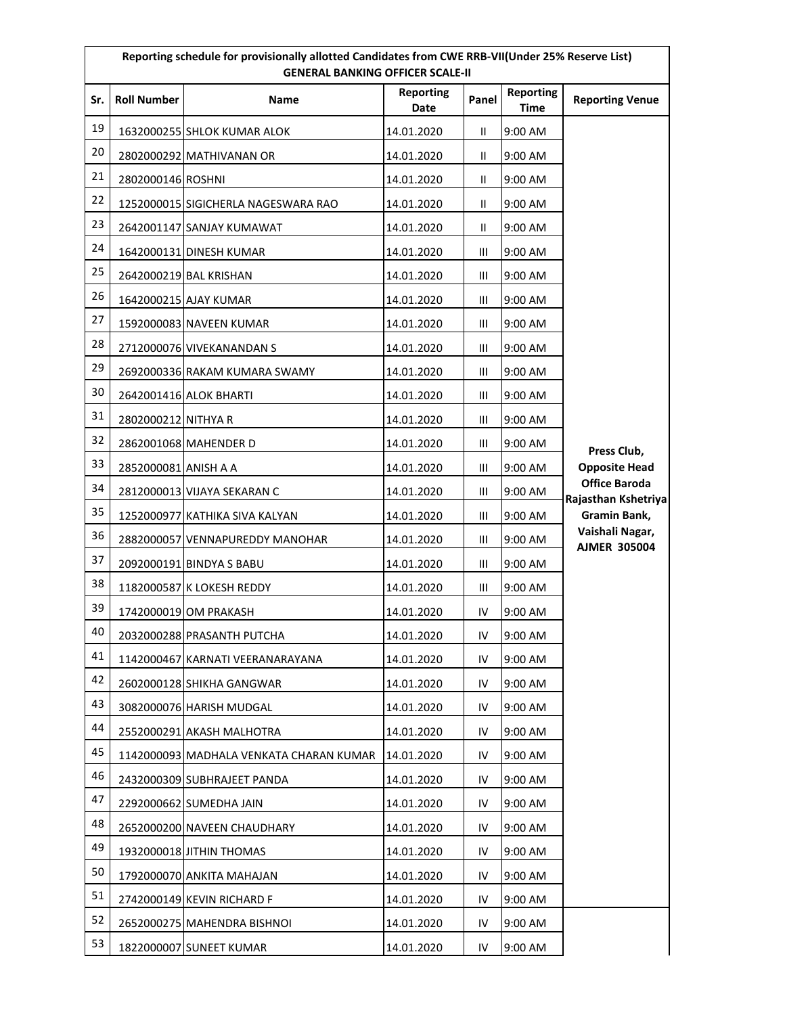|     | Reporting schedule for provisionally allotted Candidates from CWE RRB-VII(Under 25% Reserve List)<br><b>GENERAL BANKING OFFICER SCALE-II</b> |                                         |                          |                |                                 |                                             |  |
|-----|----------------------------------------------------------------------------------------------------------------------------------------------|-----------------------------------------|--------------------------|----------------|---------------------------------|---------------------------------------------|--|
| Sr. | <b>Roll Number</b>                                                                                                                           | <b>Name</b>                             | <b>Reporting</b><br>Date | Panel          | <b>Reporting</b><br><b>Time</b> | <b>Reporting Venue</b>                      |  |
| 19  |                                                                                                                                              | 1632000255 SHLOK KUMAR ALOK             | 14.01.2020               | $\mathbf{II}$  | 9:00 AM                         |                                             |  |
| 20  |                                                                                                                                              | 2802000292 MATHIVANAN OR                | 14.01.2020               | $\mathbf{II}$  | 9:00 AM                         |                                             |  |
| 21  | 2802000146 ROSHNI                                                                                                                            |                                         | 14.01.2020               | $\mathbf{II}$  | 9:00 AM                         |                                             |  |
| 22  |                                                                                                                                              | 1252000015 SIGICHERLA NAGESWARA RAO     | 14.01.2020               | $\mathbf{I}$   | 9:00 AM                         |                                             |  |
| 23  |                                                                                                                                              | 2642001147 SANJAY KUMAWAT               | 14.01.2020               | $\mathbf{H}$   | 9:00 AM                         |                                             |  |
| 24  |                                                                                                                                              | 1642000131 DINESH KUMAR                 | 14.01.2020               | Ш              | 9:00 AM                         |                                             |  |
| 25  |                                                                                                                                              | 2642000219 BAL KRISHAN                  | 14.01.2020               | Ш              | 9:00 AM                         |                                             |  |
| 26  |                                                                                                                                              | 1642000215 AJAY KUMAR                   | 14.01.2020               | Ш              | 9:00 AM                         |                                             |  |
| 27  |                                                                                                                                              | 1592000083 NAVEEN KUMAR                 | 14.01.2020               | Ш              | 9:00 AM                         |                                             |  |
| 28  |                                                                                                                                              | 2712000076 VIVEKANANDAN S               | 14.01.2020               | Ш              | 9:00 AM                         |                                             |  |
| 29  |                                                                                                                                              | 2692000336 RAKAM KUMARA SWAMY           | 14.01.2020               | Ш              | 9:00 AM                         |                                             |  |
| 30  |                                                                                                                                              | 2642001416 ALOK BHARTI                  | 14.01.2020               | Ш              | 9:00 AM                         |                                             |  |
| 31  | 2802000212 NITHYA R                                                                                                                          |                                         | 14.01.2020               | $\mathbf{III}$ | 9:00 AM                         |                                             |  |
| 32  |                                                                                                                                              | 2862001068 MAHENDER D                   | 14.01.2020               | Ш              | 9:00 AM                         | Press Club,                                 |  |
| 33  | 2852000081 ANISH A A                                                                                                                         |                                         | 14.01.2020               | Ш              | 9:00 AM                         | <b>Opposite Head</b>                        |  |
| 34  |                                                                                                                                              | 2812000013 VIJAYA SEKARAN C             | 14.01.2020               | Ш              | 9:00 AM                         | <b>Office Baroda</b><br>Rajasthan Kshetriya |  |
| 35  |                                                                                                                                              | 1252000977 KATHIKA SIVA KALYAN          | 14.01.2020               | Ш              | 9:00 AM                         | Gramin Bank,                                |  |
| 36  |                                                                                                                                              | 2882000057 VENNAPUREDDY MANOHAR         | 14.01.2020               | Ш              | 9:00 AM                         | Vaishali Nagar,<br><b>AJMER 305004</b>      |  |
| 37  |                                                                                                                                              | 2092000191 BINDYA S BABU                | 14.01.2020               | Ш              | 9:00 AM                         |                                             |  |
| 38  |                                                                                                                                              | 1182000587 K LOKESH REDDY               | 14.01.2020               | Ш              | 9:00 AM                         |                                             |  |
| 39  |                                                                                                                                              | 1742000019 OM PRAKASH                   | 14.01.2020               | IV             | 9:00 AM                         |                                             |  |
| 40  |                                                                                                                                              | 2032000288 PRASANTH PUTCHA              | 14.01.2020               | IV             | 9:00 AM                         |                                             |  |
| 41  |                                                                                                                                              | 1142000467 KARNATI VEERANARAYANA        | 14.01.2020               | IV             | 9:00 AM                         |                                             |  |
| 42  |                                                                                                                                              | 2602000128 SHIKHA GANGWAR               | 14.01.2020               | IV             | 9:00 AM                         |                                             |  |
| 43  |                                                                                                                                              | 3082000076 HARISH MUDGAL                | 14.01.2020               | IV             | 9:00 AM                         |                                             |  |
| 44  |                                                                                                                                              | 2552000291 AKASH MALHOTRA               | 14.01.2020               | IV             | 9:00 AM                         |                                             |  |
| 45  |                                                                                                                                              | 1142000093 MADHALA VENKATA CHARAN KUMAR | 14.01.2020               | IV             | 9:00 AM                         |                                             |  |
| 46  |                                                                                                                                              | 2432000309 SUBHRAJEET PANDA             | 14.01.2020               | IV             | 9:00 AM                         |                                             |  |
| 47  |                                                                                                                                              | 2292000662 SUMEDHA JAIN                 | 14.01.2020               | IV             | 9:00 AM                         |                                             |  |
| 48  |                                                                                                                                              | 2652000200 NAVEEN CHAUDHARY             | 14.01.2020               | IV             | 9:00 AM                         |                                             |  |
| 49  |                                                                                                                                              | 1932000018 JITHIN THOMAS                | 14.01.2020               | IV             | 9:00 AM                         |                                             |  |
| 50  |                                                                                                                                              | 1792000070 ANKITA MAHAJAN               | 14.01.2020               | IV             | 9:00 AM                         |                                             |  |
| 51  |                                                                                                                                              | 2742000149 KEVIN RICHARD F              | 14.01.2020               | IV             | 9:00 AM                         |                                             |  |
| 52  |                                                                                                                                              | 2652000275 MAHENDRA BISHNOI             | 14.01.2020               | IV             | 9:00 AM                         |                                             |  |
| 53  |                                                                                                                                              | 1822000007 SUNEET KUMAR                 | 14.01.2020               | IV             | 9:00 AM                         |                                             |  |